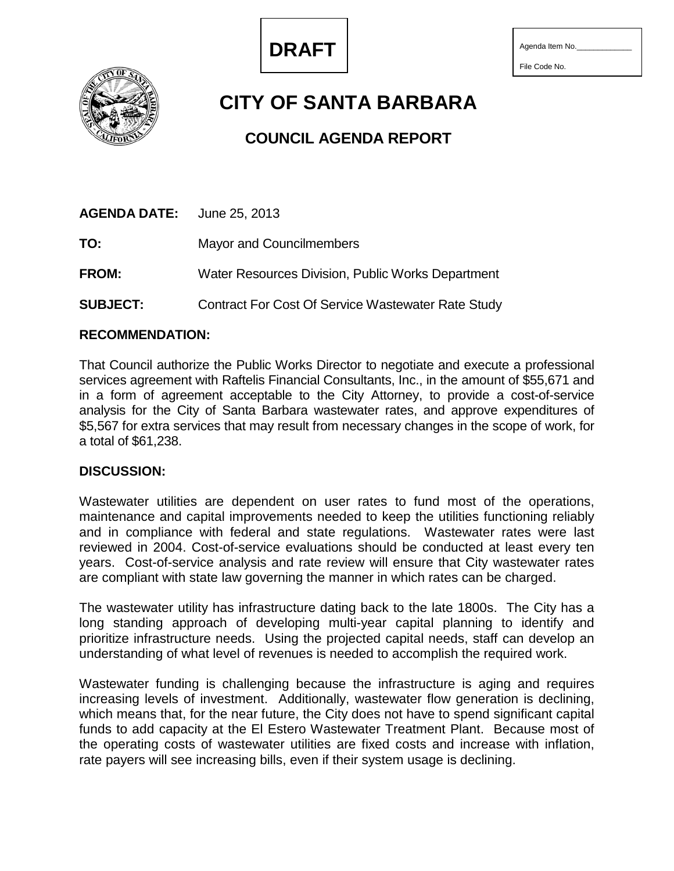

| Agenda Item No. |  |
|-----------------|--|
| File Code No.   |  |



**CITY OF SANTA BARBARA**

# **COUNCIL AGENDA REPORT**

| <b>AGENDA DATE:</b> | June 25, 2013                                             |
|---------------------|-----------------------------------------------------------|
| TO:                 | <b>Mayor and Councilmembers</b>                           |
| <b>FROM:</b>        | Water Resources Division, Public Works Department         |
| <b>SUBJECT:</b>     | <b>Contract For Cost Of Service Wastewater Rate Study</b> |

## **RECOMMENDATION:**

That Council authorize the Public Works Director to negotiate and execute a professional services agreement with Raftelis Financial Consultants, Inc., in the amount of \$55,671 and in a form of agreement acceptable to the City Attorney, to provide a cost-of-service analysis for the City of Santa Barbara wastewater rates, and approve expenditures of \$5,567 for extra services that may result from necessary changes in the scope of work, for a total of \$61,238.

#### **DISCUSSION:**

Wastewater utilities are dependent on user rates to fund most of the operations, maintenance and capital improvements needed to keep the utilities functioning reliably and in compliance with federal and state regulations. Wastewater rates were last reviewed in 2004. Cost-of-service evaluations should be conducted at least every ten years. Cost-of-service analysis and rate review will ensure that City wastewater rates are compliant with state law governing the manner in which rates can be charged.

The wastewater utility has infrastructure dating back to the late 1800s. The City has a long standing approach of developing multi-year capital planning to identify and prioritize infrastructure needs. Using the projected capital needs, staff can develop an understanding of what level of revenues is needed to accomplish the required work.

Wastewater funding is challenging because the infrastructure is aging and requires increasing levels of investment. Additionally, wastewater flow generation is declining, which means that, for the near future, the City does not have to spend significant capital funds to add capacity at the El Estero Wastewater Treatment Plant. Because most of the operating costs of wastewater utilities are fixed costs and increase with inflation, rate payers will see increasing bills, even if their system usage is declining.